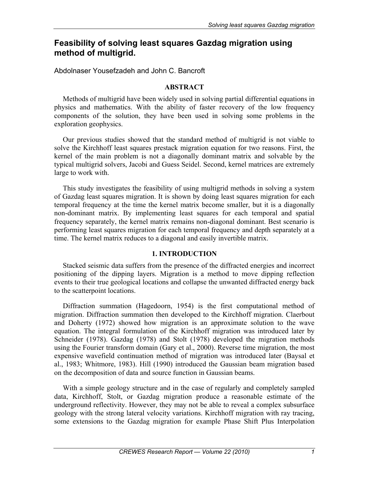# **Feasibility of solving least squares Gazdag migration using method of multigrid.**

# Abdolnaser Yousefzadeh and John C. Bancroft

### **ABSTRACT**

Methods of multigrid have been widely used in solving partial differential equations in physics and mathematics. With the ability of faster recovery of the low frequency components of the solution, they have been used in solving some problems in the exploration geophysics.

Our previous studies showed that the standard method of multigrid is not viable to solve the Kirchhoff least squares prestack migration equation for two reasons. First, the kernel of the main problem is not a diagonally dominant matrix and solvable by the typical multigrid solvers, Jacobi and Guess Seidel. Second, kernel matrices are extremely large to work with.

This study investigates the feasibility of using multigrid methods in solving a system of Gazdag least squares migration. It is shown by doing least squares migration for each temporal frequency at the time the kernel matrix become smaller, but it is a diagonally non-dominant matrix. By implementing least squares for each temporal and spatial frequency separately, the kernel matrix remains non-diagonal dominant. Best scenario is performing least squares migration for each temporal frequency and depth separately at a time. The kernel matrix reduces to a diagonal and easily invertible matrix.

# **1. INTRODUCTION**

Stacked seismic data suffers from the presence of the diffracted energies and incorrect positioning of the dipping layers. Migration is a method to move dipping reflection events to their true geological locations and collapse the unwanted diffracted energy back to the scatterpoint locations.

Diffraction summation (Hagedoorn, 1954) is the first computational method of migration. Diffraction summation then developed to the Kirchhoff migration. Claerbout and Doherty (1972) showed how migration is an approximate solution to the wave equation. The integral formulation of the Kirchhoff migration was introduced later by Schneider (1978). Gazdag (1978) and Stolt (1978) developed the migration methods using the Fourier transform domain (Gary et al., 2000). Reverse time migration, the most expensive wavefield continuation method of migration was introduced later (Baysal et al., 1983; Whitmore, 1983). Hill (1990) introduced the Gaussian beam migration based on the decomposition of data and source function in Gaussian beams.

With a simple geology structure and in the case of regularly and completely sampled data, Kirchhoff, Stolt, or Gazdag migration produce a reasonable estimate of the underground reflectivity. However, they may not be able to reveal a complex subsurface geology with the strong lateral velocity variations. Kirchhoff migration with ray tracing, some extensions to the Gazdag migration for example Phase Shift Plus Interpolation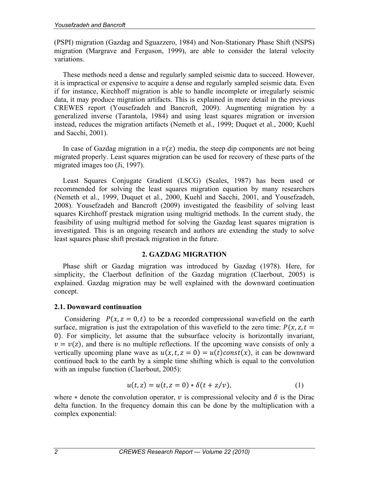(PSPI) migration (Gazdag and Sguazzero, 1984) and Non-Stationary Phase Shift (NSPS) migration (Margrave and Ferguson, 1999), are able to consider the lateral velocity variations.

These methods need a dense and regularly sampled seismic data to succeed. However, it is impractical or expensive to acquire a dense and regularly sampled seismic data. Even if for instance, Kirchhoff migration is able to handle incomplete or irregularly seismic data, it may produce migration artifacts. This is explained in more detail in the previous CREWES report (Yousefzadeh and Bancroft, 2009). Augmenting migration by a generalized inverse (Tarantola, 1984) and using least squares migration or inversion instead, reduces the migration artifacts (Nemeth et al., 1999; Duquet et al., 2000; Kuehl and Sacchi, 2001).

In case of Gazdag migration in a  $v(z)$  media, the steep dip components are not being migrated properly. Least squares migration can be used for recovery of these parts of the migrated images too (Ji, 1997).

Least Squares Conjugate Gradient (LSCG) (Scales, 1987) has been used or recommended for solving the least squares migration equation by many researchers (Nemeth et al., 1999, Duquet et al., 2000, Kuehl and Sacchi, 2001, and Yousefzadeh, 2008). Yousefzadeh and Bancroft (2009) investigated the feasibility of solving least squares Kirchhoff prestack migration using multigrid methods. In the current study, the feasibility of using multigrid method for solving the Gazdag least squares migration is investigated. This is an ongoing research and authors are extending the study to solve least squares phase shift prestack migration in the future.

# **2. GAZDAG MIGRATION**

Phase shift or Gazdag migration was introduced by Gazdag (1978). Here, for simplicity, the Claerbout definition of the Gazdag migration (Claerbout, 2005) is explained. Gazdag migration may be well explained with the downward continuation concept.

# **2.1. Downward continuation**

Considering  $P(x, z = 0, t)$  to be a recorded compressional wavefield on the earth surface, migration is just the extrapolation of this wavefield to the zero time:  $P(x, z, t =$ 0). For simplicity, let assume that the subsurface velocity is horizontally invariant,  $v = v(z)$ , and there is no multiple reflections. If the upcoming wave consists of only a vertically upcoming plane wave as  $u(x, t, z = 0) = u(t)$ const $(x)$ , it can be downward continued back to the earth by a simple time shifting which is equal to the convolution with an impulse function (Claerbout, 2005):

$$
u(t, z) = u(t, z = 0) * \delta(t + z/v),
$$
 (1)

where  $*$  denote the convolution operator,  $\nu$  is compressional velocity and  $\delta$  is the Dirac delta function. In the frequency domain this can be done by the multiplication with a complex exponential: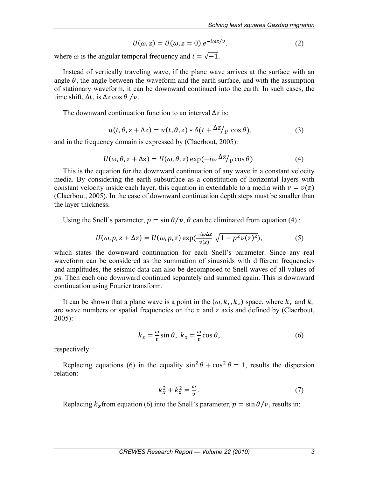$$
U(\omega, z) = U(\omega, z = 0) e^{-i\omega z/v}.
$$
 (2)

where  $\omega$  is the angular temporal frequency and  $i = \sqrt{-1}$ .

Instead of vertically traveling wave, if the plane wave arrives at the surface with an angle  $\theta$ , the angle between the waveform and the earth surface, and with the assumption of stationary waveform, it can be downward continued into the earth. In such cases, the time shift,  $\Delta t$ , is  $\Delta z \cos \theta / v$ .

The downward continuation function to an interval  $\Delta z$  is:

$$
u(t, \theta, z + \Delta z) = u(t, \theta, z) * \delta(t + \Delta z / v \cos \theta), \tag{3}
$$

and in the frequency domain is expressed by (Claerbout, 2005):

$$
U(\omega, \theta, z + \Delta z) = U(\omega, \theta, z) \exp(-i\omega \Delta z / \nu \cos \theta). \tag{4}
$$

This is the equation for the downward continuation of any wave in a constant velocity media. By considering the earth subsurface as a constitution of horizontal layers with constant velocity inside each layer, this equation in extendable to a media with  $v = v(z)$ (Claerbout, 2005). In the case of downward continuation depth steps must be smaller than the layer thickness.

Using the Snell's parameter,  $p = \sin \theta / v$ ,  $\theta$  can be eliminated from equation (4):

$$
U(\omega, p, z + \Delta z) = U(\omega, p, z) \exp(\frac{-i\omega \Delta z}{v(z)} \sqrt{1 - p^2 v(z)^2}),
$$
 (5)

which states the downward continuation for each Snell's parameter. Since any real waveform can be considered as the summation of sinusoids with different frequencies and amplitudes, the seismic data can also be decomposed to Snell waves of all values of ps. Then each one downward continued separately and summed again. This is downward continuation using Fourier transform.

It can be shown that a plane wave is a point in the  $(\omega, k_x, k_z)$  space, where  $k_x$  and  $k_z$ are wave numbers or spatial frequencies on the  $x$  and  $z$  axis and defined by (Claerbout, 2005):

$$
k_x = -\frac{\omega}{v}\sin\theta, \ k_z = -\frac{\omega}{v}\cos\theta,\tag{6}
$$

respectively.

Replacing equations (6) in the equality  $\sin^2 \theta + \cos^2 \theta = 1$ , results the dispersion relation:

$$
k_x^2 + k_z^2 = \frac{\omega}{v} \,. \tag{7}
$$

Replacing  $k_x$  from equation (6) into the Snell's parameter,  $p = \sin \theta / v$ , results in: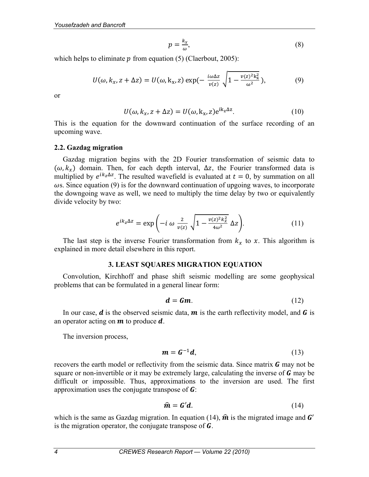$$
p = \frac{k_x}{\omega},\tag{8}
$$

which helps to eliminate  $p$  from equation (5) (Claerbout, 2005):

$$
U(\omega, k_x, z + \Delta z) = U(\omega, k_x, z) \exp(-\frac{i\omega \Delta z}{v(z)} \sqrt{1 - \frac{v(z)^2 k_x^2}{\omega^2}}),
$$
 (9)

or

$$
U(\omega, k_x, z + \Delta z) = U(\omega, k_x, z) e^{ik_z \Delta z}.
$$
 (10)

This is the equation for the downward continuation of the surface recording of an upcoming wave.

#### **2.2. Gazdag migration**

Gazdag migration begins with the 2D Fourier transformation of seismic data to ( $\omega$ ,  $k_x$ ) domain. Then, for each depth interval,  $\Delta z$ , the Fourier transformed data is multiplied by  $e^{ik_z\Delta z}$ . The resulted wavefield is evaluated at  $t=0$ , by summation on all  $\omega$ s. Since equation (9) is for the downward continuation of upgoing waves, to incorporate the downgoing wave as well, we need to multiply the time delay by two or equivalently divide velocity by two:

$$
e^{ik_z\Delta z} = \exp\left(-i\omega\frac{2}{v(z)}\sqrt{1-\frac{v(z)^2k_x^2}{4\omega^2}}\,\Delta z\right).
$$
 (11)

The last step is the inverse Fourier transformation from  $k_x$  to x. This algorithm is explained in more detail elsewhere in this report.

#### **3. LEAST SQUARES MIGRATION EQUATION**

Convolution, Kirchhoff and phase shift seismic modelling are some geophysical problems that can be formulated in a general linear form:

$$
d = Gm. \tag{12}
$$

In our case,  $\boldsymbol{d}$  is the observed seismic data,  $\boldsymbol{m}$  is the earth reflectivity model, and  $\boldsymbol{G}$  is an operator acting on  $m$  to produce  $d$ .

The inversion process,

$$
\mathbf{m} = \mathbf{G}^{-1}\mathbf{d},\tag{13}
$$

recovers the earth model or reflectivity from the seismic data. Since matrix  $\boldsymbol{G}$  may not be square or non-invertible or it may be extremely large, calculating the inverse of  **may be** difficult or impossible. Thus, approximations to the inversion are used. The first approximation uses the conjugate transpose of  $\boldsymbol{G}$ :

$$
\hat{\mathbf{m}} = \mathbf{G}'\mathbf{d}.\tag{14}
$$

which is the same as Gazdag migration. In equation (14),  $\hat{\boldsymbol{m}}$  is the migrated image and  $\boldsymbol{G}'$ is the migration operator, the conjugate transpose of *.*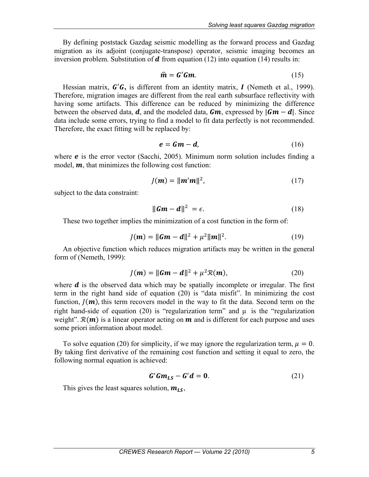By defining poststack Gazdag seismic modelling as the forward process and Gazdag migration as its adjoint (conjugate-transpose) operator, seismic imaging becomes an inversion problem. Substitution of  $d$  from equation (12) into equation (14) results in:

$$
\hat{\mathbf{m}} = \mathbf{G}' \mathbf{G} \mathbf{m}.\tag{15}
$$

Hessian matrix,  $G'G$ , is different from an identity matrix,  $I$  (Nemeth et al., 1999). Therefore, migration images are different from the real earth subsurface reflectivity with having some artifacts. This difference can be reduced by minimizing the difference between the observed data,  $d$ , and the modeled data,  $Gm$ , expressed by  $|Gm - d|$ . Since data include some errors, trying to find a model to fit data perfectly is not recommended. Therefore, the exact fitting will be replaced by:

$$
e = Gm - d,\tag{16}
$$

where  $e$  is the error vector (Sacchi, 2005). Minimum norm solution includes finding a model,  $\boldsymbol{m}$ , that minimizes the following cost function:

$$
J(m) = ||m'm||^2,
$$
\n(17)

subject to the data constraint:

$$
\|\mathbf{Gm} - \mathbf{d}\|^2 = \epsilon. \tag{18}
$$

These two together implies the minimization of a cost function in the form of:

$$
J(m) = ||Gm - d||^2 + \mu^2 ||m||^2.
$$
 (19)

An objective function which reduces migration artifacts may be written in the general form of (Nemeth, 1999):

$$
J(\mathbf{m}) = \|\mathbf{G}\mathbf{m} - \mathbf{d}\|^2 + \mu^2 \mathcal{R}(\mathbf{m}),\tag{20}
$$

where  $\boldsymbol{d}$  is the observed data which may be spatially incomplete or irregular. The first term in the right hand side of equation (20) is "data misfit". In minimizing the cost function,  $J(m)$ , this term recovers model in the way to fit the data. Second term on the right hand-side of equation (20) is "regularization term" and  $\mu$  is the "regularization weight".  $\mathcal{R}(m)$  is a linear operator acting on  $m$  and is different for each purpose and uses some priori information about model.

To solve equation (20) for simplicity, if we may ignore the regularization term,  $\mu = 0$ . By taking first derivative of the remaining cost function and setting it equal to zero, the following normal equation is achieved:

$$
G'Gm_{LS} - G'd = 0. \tag{21}
$$

This gives the least squares solution,  $m_{LS}$ ,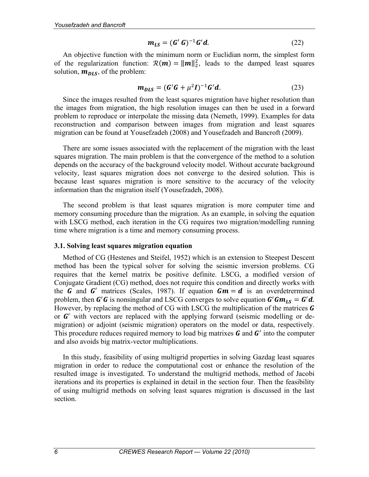$$
\mathbf{m}_{LS} = (\mathbf{G}' \mathbf{G})^{-1} \mathbf{G}' \mathbf{d}.
$$
 (22)

An objective function with the minimum norm or Euclidian norm, the simplest form of the regularization function:  $\mathcal{R}(m) = ||m||_2^2$ , leads to the damped least squares solution,  $m_{DLS}$ , of the problem:

$$
m_{DLS} = (G'G + \mu^2 I)^{-1} G'd.
$$
 (23)

Since the images resulted from the least squares migration have higher resolution than the images from migration, the high resolution images can then be used in a forward problem to reproduce or interpolate the missing data (Nemeth, 1999). Examples for data reconstruction and comparison between images from migration and least squares migration can be found at Yousefzadeh (2008) and Yousefzadeh and Bancroft (2009).

There are some issues associated with the replacement of the migration with the least squares migration. The main problem is that the convergence of the method to a solution depends on the accuracy of the background velocity model. Without accurate background velocity, least squares migration does not converge to the desired solution. This is because least squares migration is more sensitive to the accuracy of the velocity information than the migration itself (Yousefzadeh, 2008).

The second problem is that least squares migration is more computer time and memory consuming procedure than the migration. As an example, in solving the equation with LSCG method, each iteration in the CG requires two migration/modelling running time where migration is a time and memory consuming process.

#### **3.1. Solving least squares migration equation**

Method of CG (Hestenes and Steifel, 1952) which is an extension to Steepest Descent method has been the typical solver for solving the seismic inversion problems. CG requires that the kernel matrix be positive definite. LSCG, a modified version of Conjugate Gradient (CG) method, does not require this condition and directly works with the **G** and **G'** matrices (Scales, 1987). If equation  $Gm = d$  is an overdetrermined problem, then  $G'G$  is nonsingular and LSCG converges to solve equation  $G'Gm_{LS} = G'd$ . However, by replacing the method of CG with LSCG the multiplication of the matrices  $\boldsymbol{G}$ or  $G'$  with vectors are replaced with the applying forward (seismic modelling or demigration) or adjoint (seismic migration) operators on the model or data, respectively. This procedure reduces required memory to load big matrixes  $\boldsymbol{G}$  and  $\boldsymbol{G}'$  into the computer and also avoids big matrix-vector multiplications.

In this study, feasibility of using multigrid properties in solving Gazdag least squares migration in order to reduce the computational cost or enhance the resolution of the resulted image is investigated. To understand the multigrid methods, method of Jacobi iterations and its properties is explained in detail in the section four. Then the feasibility of using multigrid methods on solving least squares migration is discussed in the last section.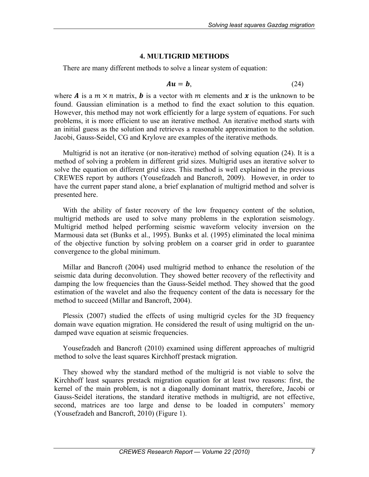# **4. MULTIGRID METHODS**

There are many different methods to solve a linear system of equation:

$$
Au = b,\t(24)
$$

where **A** is a  $m \times n$  matrix, **b** is a vector with m elements and **x** is the unknown to be found. Gaussian elimination is a method to find the exact solution to this equation. However, this method may not work efficiently for a large system of equations. For such problems, it is more efficient to use an iterative method. An iterative method starts with an initial guess as the solution and retrieves a reasonable approximation to the solution. Jacobi, Gauss-Seidel, CG and Krylove are examples of the iterative methods.

Multigrid is not an iterative (or non-iterative) method of solving equation (24). It is a method of solving a problem in different grid sizes. Multigrid uses an iterative solver to solve the equation on different grid sizes. This method is well explained in the previous CREWES report by authors (Yousefzadeh and Bancroft, 2009). However, in order to have the current paper stand alone, a brief explanation of multigrid method and solver is presented here.

With the ability of faster recovery of the low frequency content of the solution, multigrid methods are used to solve many problems in the exploration seismology. Multigrid method helped performing seismic waveform velocity inversion on the Marmousi data set (Bunks et al., 1995). Bunks et al. (1995) eliminated the local minima of the objective function by solving problem on a coarser grid in order to guarantee convergence to the global minimum.

Millar and Bancroft (2004) used multigrid method to enhance the resolution of the seismic data during deconvolution. They showed better recovery of the reflectivity and damping the low frequencies than the Gauss-Seidel method. They showed that the good estimation of the wavelet and also the frequency content of the data is necessary for the method to succeed (Millar and Bancroft, 2004).

Plessix (2007) studied the effects of using multigrid cycles for the 3D frequency domain wave equation migration. He considered the result of using multigrid on the undamped wave equation at seismic frequencies.

Yousefzadeh and Bancroft (2010) examined using different approaches of multigrid method to solve the least squares Kirchhoff prestack migration.

They showed why the standard method of the multigrid is not viable to solve the Kirchhoff least squares prestack migration equation for at least two reasons: first, the kernel of the main problem, is not a diagonally dominant matrix, therefore, Jacobi or Gauss-Seidel iterations, the standard iterative methods in multigrid, are not effective, second, matrices are too large and dense to be loaded in computers' memory (Yousefzadeh and Bancroft, 2010) (Figure 1).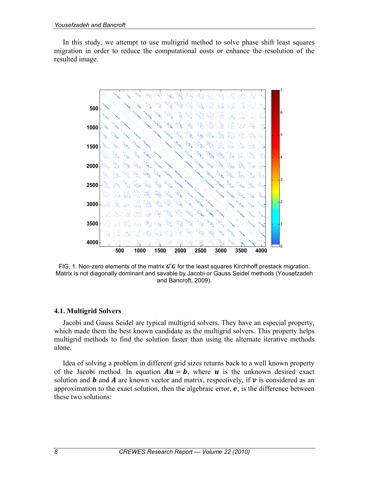In this study, we attempt to use multigrid method to solve phase shift least squares migration in order to reduce the computational costs or enhance the resolution of the resulted image.



FIG. 1. Non-zero elements of the matrix  $G'G$  for the least squares Kirchhoff prestack migration. Matrix is not diagonally dominant and savable by Jacobi or Gauss Seidel methods (Yousefzadeh and Bancroft, 2009).

# **4.1. Multigrid Solvers**

Jacobi and Gauss Seidel are typical multigrid solvers. They have an especial property, which made them the best known candidate as the multigrid solvers. This property helps multigrid methods to find the solution faster than using the alternate iterative methods alone.

Idea of solving a problem in different grid sizes returns back to a well known property of the Jacobi method. In equation  $Au = b$ , where u is the unknown desired exact solution and  $\bm{b}$  and  $\bm{A}$  are known vector and matrix, respectively, if  $\bm{v}$  is considered as an approximation to the exact solution, then the algebraic error,  $e$ , is the difference between these two solutions: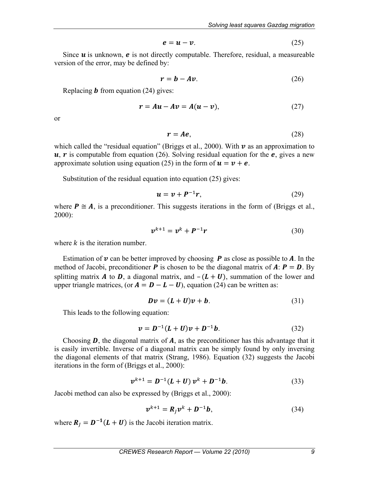$$
e = u - v. \tag{25}
$$

Since  $u$  is unknown,  $e$  is not directly computable. Therefore, residual, a measureable version of the error, may be defined by:

$$
r = b - Av. \tag{26}
$$

Replacing  $\boldsymbol{b}$  from equation (24) gives:

$$
r = Au - Av = A(u - v), \tag{27}
$$

or

$$
r = Ae, \tag{28}
$$

which called the "residual equation" (Briggs et al., 2000). With  $\nu$  as an approximation to  $u, r$  is computable from equation (26). Solving residual equation for the  $e$ , gives a new approximate solution using equation (25) in the form of  $u = v + e$ .

Substitution of the residual equation into equation (25) gives:

$$
u = v + P^{-1}r, \tag{29}
$$

where  $P \cong A$ , is a preconditioner. This suggests iterations in the form of (Briggs et al., 2000):

$$
v^{k+1} = v^k + P^{-1}r \tag{30}
$$

where  $k$  is the iteration number.

Estimation of  $\nu$  can be better improved by choosing  $P$  as close as possible to  $A$ . In the method of Jacobi, preconditioner **P** is chosen to be the diagonal matrix of **A**:  $P = D$ . By splitting matrix **A** to **D**, a diagonal matrix, and  $-(L + U)$ , summation of the lower and upper triangle matrices, (or  $A = D - L - U$ ), equation (24) can be written as:

$$
Dv = (L+U)v + b. \tag{31}
$$

This leads to the following equation:

$$
v = D^{-1}(L+U)v + D^{-1}b.
$$
 (32)

Choosing  $\bm{D}$ , the diagonal matrix of  $\bm{A}$ , as the preconditioner has this advantage that it is easily invertible. Inverse of a diagonal matrix can be simply found by only inversing the diagonal elements of that matrix (Strang, 1986). Equation (32) suggests the Jacobi iterations in the form of (Briggs et al., 2000):

$$
v^{k+1} = D^{-1}(L+U) v^k + D^{-1}b.
$$
 (33)

Jacobi method can also be expressed by (Briggs et al., 2000):

$$
\boldsymbol{v}^{k+1} = \boldsymbol{R}_j \boldsymbol{v}^k + \boldsymbol{D}^{-1} \boldsymbol{b},\tag{34}
$$

where  $R_j = D^{-1}(L+U)$  is the Jacobi iteration matrix.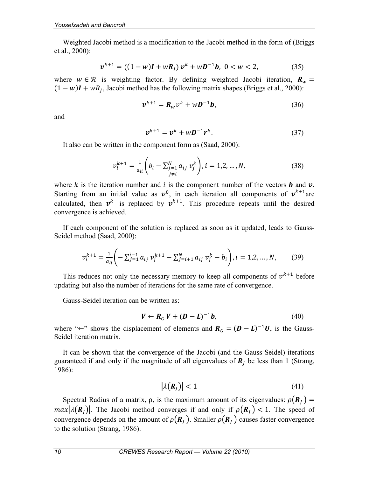Weighted Jacobi method is a modification to the Jacobi method in the form of (Briggs et al., 2000):

$$
v^{k+1} = ((1 - w)I + wR_J) v^k + wD^{-1}b, \ 0 < w < 2,\tag{35}
$$

where  $w \in \mathcal{R}$  is weighting factor. By defining weighted Jacobi iteration,  $R_w$  =  $(1 - w)I + wR_I$ , Jacobi method has the following matrix shapes (Briggs et al., 2000):

$$
v^{k+1} = R_w v^k + wD^{-1}b,
$$
\n(36)

and

$$
v^{k+1} = v^k + wD^{-1}r^k. \tag{37}
$$

It also can be written in the component form as (Saad, 2000):

$$
\nu_i^{k+1} = \frac{1}{a_{ii}} \left( b_i - \sum_{\substack{j=1 \ j \neq i}}^N a_{ij} \nu_j^k \right), i = 1, 2, ..., N,
$$
 (38)

where k is the iteration number and i is the component number of the vectors **b** and  $v$ . Starting from an initial value as  $v^0$ , in each iteration all components of  $v^{k+1}$ are calculated, then  $v^k$  is replaced by  $v^{k+1}$ . This procedure repeats until the desired convergence is achieved.

If each component of the solution is replaced as soon as it updated, leads to Gauss-Seidel method (Saad, 2000):

$$
\nu_i^{k+1} = \frac{1}{a_{ii}} \left( -\sum_{j=1}^{i-1} a_{ij} \nu_j^{k+1} - \sum_{j=i+1}^{N} a_{ij} \nu_j^k - b_i \right), i = 1, 2, ..., N,
$$
 (39)

This reduces not only the necessary memory to keep all components of  $v^{k+1}$  before updating but also the number of iterations for the same rate of convergence.

Gauss-Seidel iteration can be written as:

$$
\boldsymbol{V} \leftarrow \boldsymbol{R}_G \, \boldsymbol{V} + (\boldsymbol{D} - \boldsymbol{L})^{-1} \boldsymbol{b}, \tag{40}
$$

where "←" shows the displacement of elements and  $R_G = (D - L)^{-1}U$ , is the Gauss-Seidel iteration matrix.

It can be shown that the convergence of the Jacobi (and the Gauss-Seidel) iterations guaranteed if and only if the magnitude of all eigenvalues of  $\mathbf{R}_l$  be less than 1 (Strang, 1986):

$$
|\lambda(\mathbf{R}_j)| < 1 \tag{41}
$$

Spectral Radius of a matrix,  $\rho$ , is the maximum amount of its eigenvalues:  $\rho(\mathbf{R}_l)$  =  $max|\lambda(R_i)|$ . The Jacobi method converges if and only if  $\rho(R_i)$  < 1. The speed of convergence depends on the amount of  $\rho(\mathbf{R}_I)$ . Smaller  $\rho(\mathbf{R}_I)$  causes faster convergence to the solution (Strang, 1986).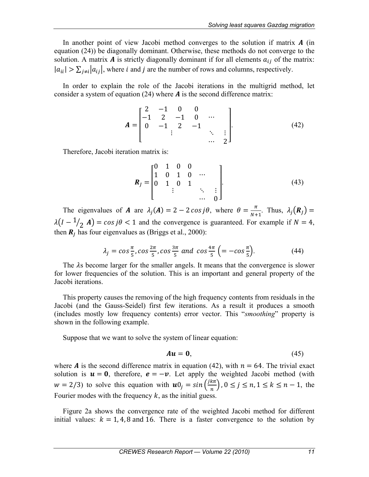In another point of view Jacobi method converges to the solution if matrix  $\boldsymbol{A}$  (in equation (24)) be diagonally dominant. Otherwise, these methods do not converge to the solution. A matrix **A** is strictly diagonally dominant if for all elements  $a_{ij}$  of the matrix:  $|a_{ii}| > \sum_{i \neq i} |a_{ii}|$ , where *i* and *j* are the number of rows and columns, respectively.

In order to explain the role of the Jacobi iterations in the multigrid method, let consider a system of equation (24) where  $\vec{A}$  is the second difference matrix:

$$
A = \begin{bmatrix} 2 & -1 & 0 & 0 \\ -1 & 2 & -1 & 0 & \cdots \\ 0 & -1 & 2 & -1 & \cdots \\ & & \vdots & & \ddots & \vdots \\ & & & & \cdots & 2 \end{bmatrix} .
$$
 (42)

Therefore, Jacobi iteration matrix is:

$$
\boldsymbol{R}_{J} = \begin{bmatrix} 0 & 1 & 0 & 0 & & \\ 1 & 0 & 1 & 0 & \cdots & \\ 0 & 1 & 0 & 1 & & \\ & & \vdots & & \ddots & \vdots \\ & & & & \cdots & 0 \end{bmatrix} .
$$
 (43)

The eigenvalues of **A** are  $\lambda_j(A) = 2 - 2 \cos j\theta$ , where  $\theta = \frac{\pi}{N+1}$ . Thus,  $\lambda_j(R_j) =$  $\lambda(I - 1/2 \text{ A}) = \cos j\theta < 1$  and the convergence is guaranteed. For example if  $N = 4$ , then  $\mathbf{R}_l$  has four eigenvalues as (Briggs et al., 2000):

$$
\lambda_j = \cos\frac{\pi}{5}, \cos\frac{2\pi}{5}, \cos\frac{3\pi}{5} \text{ and } \cos\frac{4\pi}{5} \left( = -\cos\frac{\pi}{5} \right). \tag{44}
$$

The  $\lambda$ s become larger for the smaller angels. It means that the convergence is slower for lower frequencies of the solution. This is an important and general property of the Jacobi iterations.

This property causes the removing of the high frequency contents from residuals in the Jacobi (and the Gauss-Seidel) first few iterations. As a result it produces a smooth (includes mostly low frequency contents) error vector. This "*smoothing*" property is shown in the following example.

Suppose that we want to solve the system of linear equation:

$$
Au = 0, \tag{45}
$$

where **A** is the second difference matrix in equation (42), with  $n = 64$ . The trivial exact solution is  $u = 0$ , therefore,  $e = -v$ . Let apply the weighted Jacobi method (with  $w = 2/3$ ) to solve this equation with  $\mathbf{u}_j = \sin\left(\frac{j k \pi}{n}\right)$ ,  $0 \le j \le n, 1 \le k \le n - 1$ , the Fourier modes with the frequency  $k$ , as the initial guess.

Figure 2a shows the convergence rate of the weighted Jacobi method for different initial values:  $k = 1, 4, 8$  and 16. There is a faster convergence to the solution by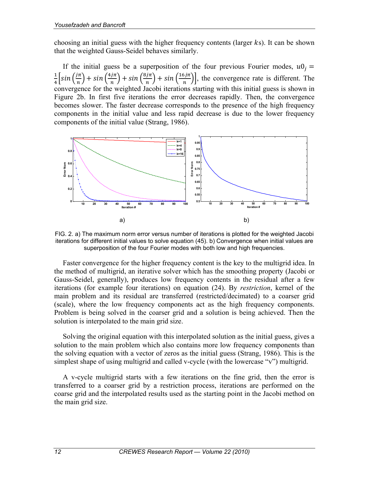choosing an initial guess with the higher frequency contents (larger  $ks$ ). It can be shown that the weighted Gauss-Seidel behaves similarly.

If the initial guess be a superposition of the four previous Fourier modes,  $u0_i =$  $\frac{4}{4} \left[ \sin \left( \frac{i\pi}{n} \right) + \sin \left( \frac{4i\pi}{n} \right) + \sin \left( \frac{8i\pi}{n} \right) \right]$ , the convergence rate is different. The convergence for the weighted Jacobi iterations starting with this initial guess is shown in Figure 2b. In first five iterations the error decreases rapidly. Then, the convergence becomes slower. The faster decrease corresponds to the presence of the high frequency components in the initial value and less rapid decrease is due to the lower frequency components of the initial value (Strang, 1986).



FIG. 2. a) The maximum norm error versus number of iterations is plotted for the weighted Jacobi iterations for different initial values to solve equation (45). b) Convergence when initial values are superposition of the four Fourier modes with both low and high frequencies.

Faster convergence for the higher frequency content is the key to the multigrid idea. In the method of multigrid, an iterative solver which has the smoothing property (Jacobi or Gauss-Seidel, generally), produces low frequency contents in the residual after a few iterations (for example four iterations) on equation (24). By *restriction*, kernel of the main problem and its residual are transferred (restricted/decimated) to a coarser grid (scale), where the low frequency components act as the high frequency components. Problem is being solved in the coarser grid and a solution is being achieved. Then the solution is interpolated to the main grid size.

Solving the original equation with this interpolated solution as the initial guess, gives a solution to the main problem which also contains more low frequency components than the solving equation with a vector of zeros as the initial guess (Strang, 1986). This is the simplest shape of using multigrid and called v-cycle (with the lowercase "v") multigrid.

A v-cycle multigrid starts with a few iterations on the fine grid, then the error is transferred to a coarser grid by a restriction process, iterations are performed on the coarse grid and the interpolated results used as the starting point in the Jacobi method on the main grid size.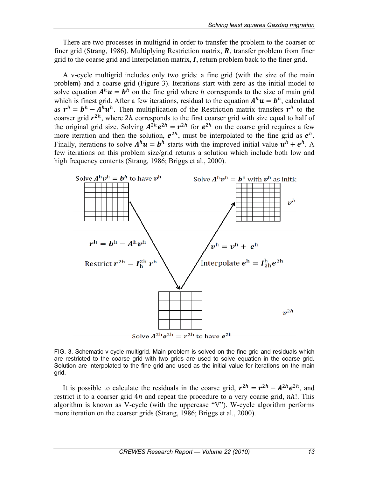There are two processes in multigrid in order to transfer the problem to the coarser or finer grid (Strang, 1986). Multiplying Restriction matrix,  $\bm{R}$ , transfer problem from finer grid to the coarse grid and Interpolation matrix,  $I$ , return problem back to the finer grid.

A v-cycle multigrid includes only two grids: a fine grid (with the size of the main problem) and a coarse grid (Figure 3). Iterations start with zero as the initial model to solve equation  $A^h u = b^h$  on the fine grid where h corresponds to the size of main grid which is finest grid. After a few iterations, residual to the equation  $A^h u = b^h$ , calculated as  $r^h = b^h - A^h u^h$ . Then multiplication of the Restriction matrix transfers  $r^h$  to the coarser grid  $r^{2h}$ , where 2*h* corresponds to the first coarser grid with size equal to half of the original grid size. Solving  $A^{2h}e^{2h} = r^{2h}$  for  $e^{2h}$  on the coarse grid requires a few more iteration and then the solution,  $e^{2h}$ , must be interpolated to the fine grid as  $e^{h}$ . Finally, iterations to solve  $A^h u = b^h$  starts with the improved initial value  $u^h + e^h$ . A few iterations on this problem size/grid returns a solution which include both low and high frequency contents (Strang, 1986; Briggs et al., 2000).



FIG. 3. Schematic v-cycle multigrid. Main problem is solved on the fine grid and residuals which are restricted to the coarse grid with two grids are used to solve equation in the coarse grid. Solution are interpolated to the fine grid and used as the initial value for iterations on the main grid.

It is possible to calculate the residuals in the coarse grid,  $r^{2h} = r^{2h} - A^{2h}e^{2h}$ , and restrict it to a coarser grid 4h and repeat the procedure to a very coarse grid, nh!. This algorithm is known as V-cycle (with the uppercase "V"). W-cycle algorithm performs more iteration on the coarser grids (Strang, 1986; Briggs et al., 2000).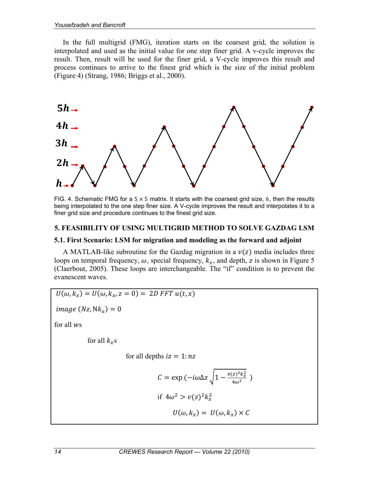In the full multigrid (FMG), iteration starts on the coarsest grid, the solution is interpolated and used as the initial value for one step finer grid. A v-cycle improves the result. Then, result will be used for the finer grid, a V-cycle improves this result and process continues to arrive to the finest grid which is the size of the initial problem (Figure 4) (Strang, 1986; Briggs et al., 2000).



FIG. 4. Schematic FMG for a  $5 \times 5$  matrix. It starts with the coarsest grid size,  $h$ , then the results being interpolated to the one step finer size. A V-cycle improves the result and interpolates it to a finer grid size and procedure continues to the finest grid size.

### **5. FEASIBILITY OF USING MULTIGRID METHOD TO SOLVE GAZDAG LSM**

#### **5.1. First Scenario: LSM for migration and modeling as the forward and adjoint**

A MATLAB-like subroutine for the Gazdag migration in a  $v(z)$  media includes three loops on temporal frequency,  $\omega$ , special frequency,  $k_x$ , and depth, z is shown in Figure 5 (Claerbout, 2005). These loops are interchangeable. The "if" condition is to prevent the evanescent waves.

$$
U(\omega, k_x) = U(\omega, k_x, z = 0) = 2D \text{ FFT } u(t, x)
$$

 $image(Nz, Nk_x) = 0$ 

for all  $ws$ 

for all  $k_{x}$ s

for all depths  $iz = 1: nz$ 

$$
C = \exp(-i\omega\Delta z \sqrt{1 - \frac{v(z)^2 k_x^2}{4\omega^2}})
$$
  
if  $4\omega^2 > v(z)^2 k_x^2$   

$$
U(\omega, k_x) = U(\omega, k_x) \times C
$$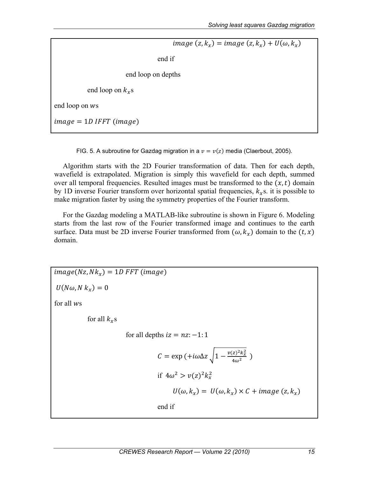$image(z, k_x) = image(z, k_x) + U(\omega, k_x)$  end if end loop on depths end loop on  $k_{x}$ s end loop on ws  $image = 1D IFFT (image)$ 

FIG. 5. A subroutine for Gazdag migration in a  $v=v(z)$  media (Claerbout, 2005).

Algorithm starts with the 2D Fourier transformation of data. Then for each depth, wavefield is extrapolated. Migration is simply this wavefield for each depth, summed over all temporal frequencies. Resulted images must be transformed to the  $(x, t)$  domain by 1D inverse Fourier transform over horizontal spatial frequencies,  $k<sub>x</sub>$ s. it is possible to make migration faster by using the symmetry properties of the Fourier transform.

For the Gazdag modeling a MATLAB-like subroutine is shown in Figure 6. Modeling starts from the last row of the Fourier transformed image and continues to the earth surface. Data must be 2D inverse Fourier transformed from  $(\omega, k_x)$  domain to the  $(t, x)$ domain.

 $\text{image}(N_z, N_k) = 1$ D FFT (image)  $U(N\omega, N k_x) = 0$ for all  $ws$ for all  $k_{x}$ s for all depths  $iz = nz$ : -1: 1  $C = \exp \left(+i\omega\Delta z \sqrt{1 - \frac{v(z)^2 k_x^2}{4\omega^2}}\right)$ if  $4\omega^2 > v(z)^2 k_x^2$  $U(\omega, k_r) = U(\omega, k_r) \times C + image(z, k_r)$ end if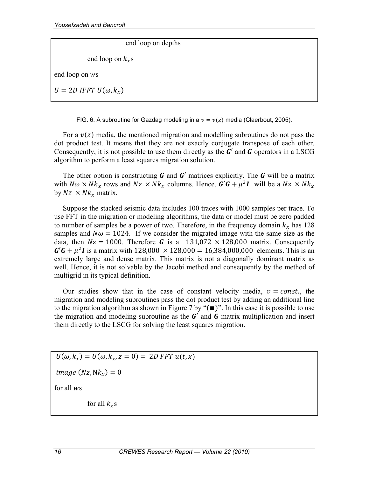end loop on depths

end loop on  $k_{\gamma}$ s

end loop on  $ws$ 

 $U = 2D$  IFFT  $U(\omega, k_r)$ 

FIG. 6. A subroutine for Gazdag modeling in a  $v = v(z)$  media (Claerbout, 2005).

For a  $v(z)$  media, the mentioned migration and modelling subroutines do not pass the dot product test. It means that they are not exactly conjugate transpose of each other. Consequently, it is not possible to use them directly as the  $\boldsymbol{G}'$  and  $\boldsymbol{G}$  operators in a LSCG algorithm to perform a least squares migration solution.

The other option is constructing  $\boldsymbol{G}$  and  $\boldsymbol{G}'$  matrices explicitly. The  $\boldsymbol{G}$  will be a matrix with  $N\omega \times Nk_x$  rows and  $Nz \times Nk_x$  columns. Hence,  $\mathbf{G}'\mathbf{G} + \mu^2 \mathbf{I}$  will be a  $Nz \times Nk_x$ by  $Nz \times Nk_x$  matrix.

Suppose the stacked seismic data includes 100 traces with 1000 samples per trace. To use FFT in the migration or modeling algorithms, the data or model must be zero padded to number of samples be a power of two. Therefore, in the frequency domain  $k_x$  has 128 samples and  $N\omega = 1024$ . If we consider the migrated image with the same size as the data, then  $Nz = 1000$ . Therefore **G** is a 131,072  $\times$  128,000 matrix. Consequently  $G'G + \mu^2 I$  is a matrix with 128,000  $\times$  128,000 = 16,384,000,000 elements. This is an extremely large and dense matrix. This matrix is not a diagonally dominant matrix as well. Hence, it is not solvable by the Jacobi method and consequently by the method of multigrid in its typical definition.

Our studies show that in the case of constant velocity media,  $v = const.$ , the migration and modeling subroutines pass the dot product test by adding an additional line to the migration algorithm as shown in Figure 7 by " $(\blacksquare)$ ". In this case it is possible to use the migration and modeling subroutine as the  $G'$  and  $G$  matrix multiplication and insert them directly to the LSCG for solving the least squares migration.

 $U(\omega, k_x) = U(\omega, k_x, z = 0) = 2D$  FFT  $u(t, x)$ 

 $image(Nz, Nk_x) = 0$ 

for all  $ws$ 

for all  $k_x$ s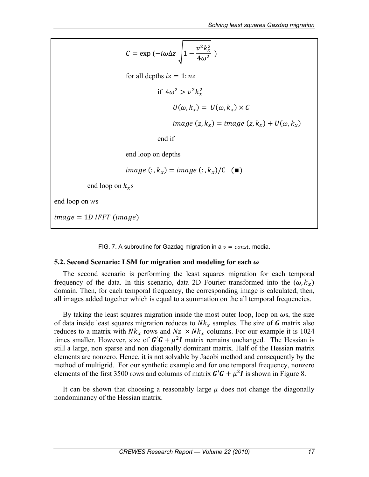$$
C = \exp(-i\omega\Delta z) \sqrt{1 - \frac{v^2 k_x^2}{4\omega^2}})
$$
  
for all depths  $iz = 1:nz$   
if  $4\omega^2 > v^2 k_x^2$   
 $U(\omega, k_x) = U(\omega, k_x) \times C$   
image  $(z, k_x) = image (z, k_x) + U(\omega, k_x)$   
end if  
end loop on depths  
image (:,  $k_x$ ) = image (:,  $k_x$ )/C ( $\blacksquare$ )  
end loop on  $k_x$ s  
image = 1D IFFT (image)

FIG. 7. A subroutine for Gazdag migration in a  $v = const$ . media.

#### **5.2. Second Scenario: LSM for migration and modeling for each**

end loop on  $ws$ 

The second scenario is performing the least squares migration for each temporal frequency of the data. In this scenario, data 2D Fourier transformed into the  $(\omega, k_{\gamma})$ domain. Then, for each temporal frequency, the corresponding image is calculated, then, all images added together which is equal to a summation on the all temporal frequencies.

By taking the least squares migration inside the most outer loop, loop on  $\omega$ s, the size of data inside least squares migration reduces to  $Nk<sub>x</sub>$  samples. The size of G matrix also reduces to a matrix with  $Nk_r$  rows and  $Nz \times Nk_r$  columns. For our example it is 1024 times smaller. However, size of  $G' G + \mu^2 I$  matrix remains unchanged. The Hessian is still a large, non sparse and non diagonally dominant matrix. Half of the Hessian matrix elements are nonzero. Hence, it is not solvable by Jacobi method and consequently by the method of multigrid. For our synthetic example and for one temporal frequency, nonzero elements of the first 3500 rows and columns of matrix  $\mathbf{G}'\mathbf{G} + \mu^2 \mathbf{I}$  is shown in Figure 8.

It can be shown that choosing a reasonably large  $\mu$  does not change the diagonally nondominancy of the Hessian matrix.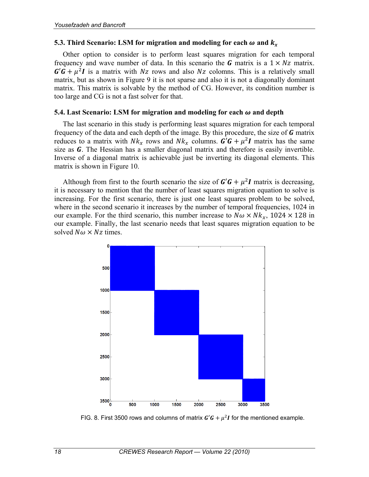#### **5.3. Third Scenario: LSM for migration and modeling for each**  $\omega$  **and**  $k_x$

Other option to consider is to perform least squares migration for each temporal frequency and wave number of data. In this scenario the  $G$  matrix is a  $1 \times Nz$  matrix.  $G' \hat{G} + \mu^2 I$  is a matrix with Nz rows and also Nz colomns. This is a relatively small matrix, but as shown in Figure 9 it is not sparse and also it is not a diagonally dominant matrix. This matrix is solvable by the method of CG. However, its condition number is too large and CG is not a fast solver for that.

#### **5.4. Last Scenario: LSM for migration and modeling for each**  $\omega$  **and depth**

The last scenario in this study is performing least squares migration for each temporal frequency of the data and each depth of the image. By this procedure, the size of  **matrix** reduces to a matrix with  $Nk_x$  rows and  $Nk_x$  columns.  $\mathbf{G}'\mathbf{G} + \mu^2 \mathbf{I}$  matrix has the same size as *. The Hessian has a smaller diagonal matrix and therefore is easily invertible.* Inverse of a diagonal matrix is achievable just be inverting its diagonal elements. This matrix is shown in Figure 10.

Although from first to the fourth scenario the size of  $G' G + \mu^2 I$  matrix is decreasing, it is necessary to mention that the number of least squares migration equation to solve is increasing. For the first scenario, there is just one least squares problem to be solved, where in the second scenario it increases by the number of temporal frequencies, 1024 in our example. For the third scenario, this number increase to  $N\omega \times Nk_{r}$ , 1024  $\times$  128 in our example. Finally, the last scenario needs that least squares migration equation to be solved  $N\omega \times Nz$  times.



FIG. 8. First 3500 rows and columns of matrix  $G' G + \mu^2 I$  for the mentioned example.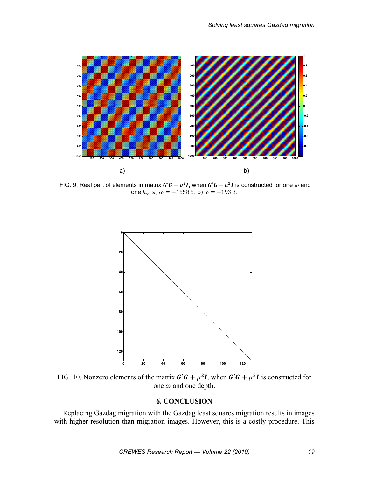

FIG. 9. Real part of elements in matrix  $G'G + \mu^2 I$ , when  $G'G + \mu^2 I$  is constructed for one  $\omega$  and one  $k_x$ . a)  $\omega = -1558.5$ ; b)  $\omega = -193.3$ .



FIG. 10. Nonzero elements of the matrix  $\mathbf{G}'\mathbf{G} + \mu^2 \mathbf{I}$ , when  $\mathbf{G}'\mathbf{G} + \mu^2 \mathbf{I}$  is constructed for one  $\omega$  and one depth.

### **6. CONCLUSION**

Replacing Gazdag migration with the Gazdag least squares migration results in images with higher resolution than migration images. However, this is a costly procedure. This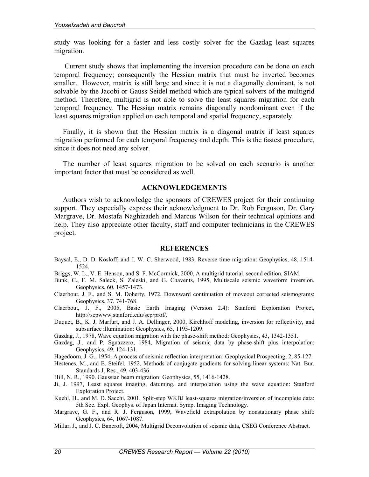study was looking for a faster and less costly solver for the Gazdag least squares migration.

 Current study shows that implementing the inversion procedure can be done on each temporal frequency; consequently the Hessian matrix that must be inverted becomes smaller. However, matrix is still large and since it is not a diagonally dominant, is not solvable by the Jacobi or Gauss Seidel method which are typical solvers of the multigrid method. Therefore, multigrid is not able to solve the least squares migration for each temporal frequency. The Hessian matrix remains diagonally nondominant even if the least squares migration applied on each temporal and spatial frequency, separately.

Finally, it is shown that the Hessian matrix is a diagonal matrix if least squares migration performed for each temporal frequency and depth. This is the fastest procedure, since it does not need any solver.

The number of least squares migration to be solved on each scenario is another important factor that must be considered as well.

### **ACKNOWLEDGEMENTS**

Authors wish to acknowledge the sponsors of CREWES project for their continuing support. They especially express their acknowledgment to Dr. Rob Ferguson, Dr. Gary Margrave, Dr. Mostafa Naghizadeh and Marcus Wilson for their technical opinions and help. They also appreciate other faculty, staff and computer technicians in the CREWES project.

#### **REFERENCES**

- Baysal, E., D. D. Kosloff, and J. W. C. Sherwood, 1983, Reverse time migration: Geophysics, 48, 1514- 1524.
- Briggs, W. L., V. E. Henson, and S. F. McCormick, 2000, A multigrid tutorial, second edition, SIAM.
- Bunk, C., F. M. Saleck, S. Zaleski, and G. Chavents, 1995, Multiscale seismic waveform inversion. Geophysics, 60, 1457-1473.
- Claerbout, J. F., and S. M. Doherty, 1972, Downward continuation of moveout corrected seismograms: Geophysics, 37, 741-768.
- Claerbout, J. F., 2005, Basic Earth Imaging (Version 2.4): Stanford Exploration Project, http://sepwww.stanford.edu/sep/prof/.
- Duquet, B., K. J. Marfurt, and J. A. Dellinger, 2000, Kirchhoff modeling, inversion for reflectivity, and subsurface illumination: Geophysics, 65, 1195-1209.
- Gazdag, J., 1978, Wave equation migration with the phase-shift method: Geophysics, 43, 1342-1351.
- Gazdag, J., and P. Sguazzero, 1984, Migration of seismic data by phase-shift plus interpolation: Geophysics, 49, 124-131.
- Hagedoorn, J. G., 1954, A process of seismic reflection interpretation: Geophysical Prospecting, 2, 85-127.
- Hestenes, M., and E. Steifel, 1952, Methods of conjugate gradients for solving linear systems: Nat. Bur. Standards J. Res., 49, 403-436.
- Hill, N. R., 1990. Gaussian beam migration: Geophysics, 55, 1416-1428.
- Ji, J. 1997, Least squares imaging, datuming, and interpolation using the wave equation: Stanford Exploration Project.
- Kuehl, H., and M. D. Sacchi, 2001, Split-step WKBJ least-squares migration/inversion of incomplete data: 5th Soc. Expl. Geophys. of Japan Internat. Symp. Imaging Technology.
- Margrave, G. F., and R. J. Ferguson, 1999, Wavefield extrapolation by nonstationary phase shift: Geophysics, 64, 1067-1087.
- Millar, J., and J. C. Bancroft, 2004, Multigrid Deconvolution of seismic data, CSEG Conference Abstract.